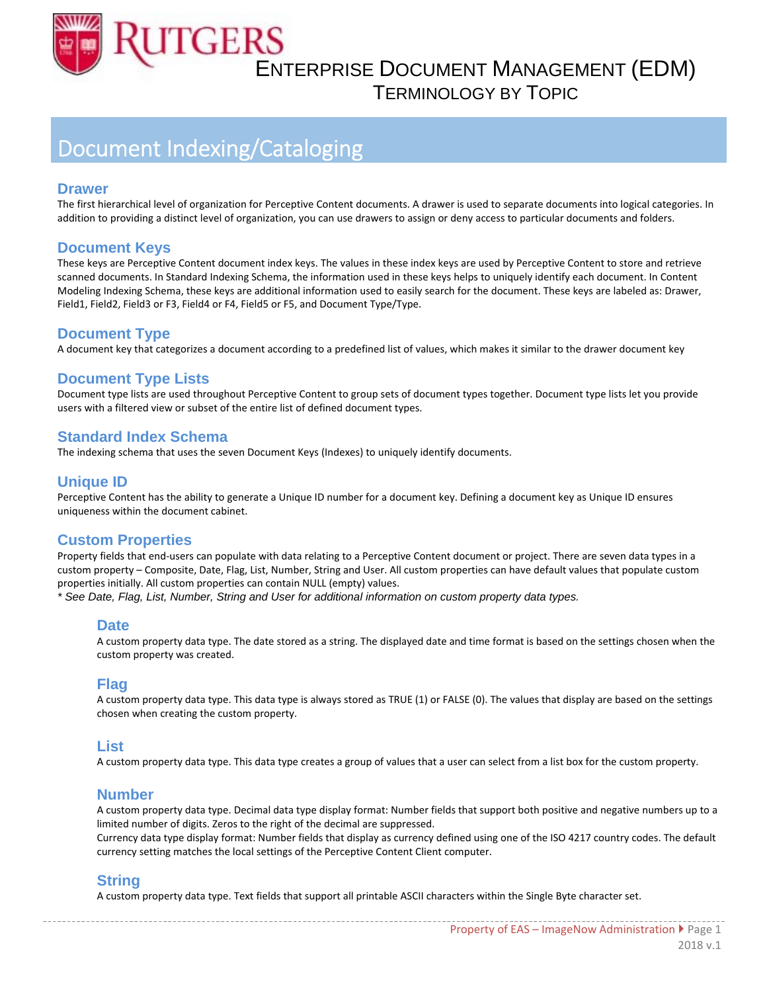

TERMINOLOGY BY TOPIC

## Document Indexing/Cataloging

#### **Drawer**

The first hierarchical level of organization for Perceptive Content documents. A drawer is used to separate documents into logical categories. In addition to providing a distinct level of organization, you can use drawers to assign or deny access to particular documents and folders.

## **Document Keys**

These keys are Perceptive Content document index keys. The values in these index keys are used by Perceptive Content to store and retrieve scanned documents. In Standard Indexing Schema, the information used in these keys helps to uniquely identify each document. In Content Modeling Indexing Schema, these keys are additional information used to easily search for the document. These keys are labeled as: Drawer, Field1, Field2, Field3 or F3, Field4 or F4, Field5 or F5, and Document Type/Type.

## **Document Type**

A document key that categorizes a document according to a predefined list of values, which makes it similar to the drawer document key

## **Document Type Lists**

Document type lists are used throughout Perceptive Content to group sets of document types together. Document type lists let you provide users with a filtered view or subset of the entire list of defined document types.

## **Standard Index Schema**

The indexing schema that uses the seven Document Keys (Indexes) to uniquely identify documents.

## **Unique ID**

Perceptive Content has the ability to generate a Unique ID number for a document key. Defining a document key as Unique ID ensures uniqueness within the document cabinet.

## **Custom Properties**

Property fields that end‐users can populate with data relating to a Perceptive Content document or project. There are seven data types in a custom property – Composite, Date, Flag, List, Number, String and User. All custom properties can have default values that populate custom properties initially. All custom properties can contain NULL (empty) values. *\* See Date, Flag, List, Number, String and User for additional information on custom property data types.*

#### **Date**

A custom property data type. The date stored as a string. The displayed date and time format is based on the settings chosen when the custom property was created.

#### **Flag**

A custom property data type. This data type is always stored as TRUE (1) or FALSE (0). The values that display are based on the settings chosen when creating the custom property.

#### **List**

A custom property data type. This data type creates a group of values that a user can select from a list box for the custom property.

#### **Number**

A custom property data type. Decimal data type display format: Number fields that support both positive and negative numbers up to a limited number of digits. Zeros to the right of the decimal are suppressed.

Currency data type display format: Number fields that display as currency defined using one of the ISO 4217 country codes. The default currency setting matches the local settings of the Perceptive Content Client computer.

## **String**

A custom property data type. Text fields that support all printable ASCII characters within the Single Byte character set.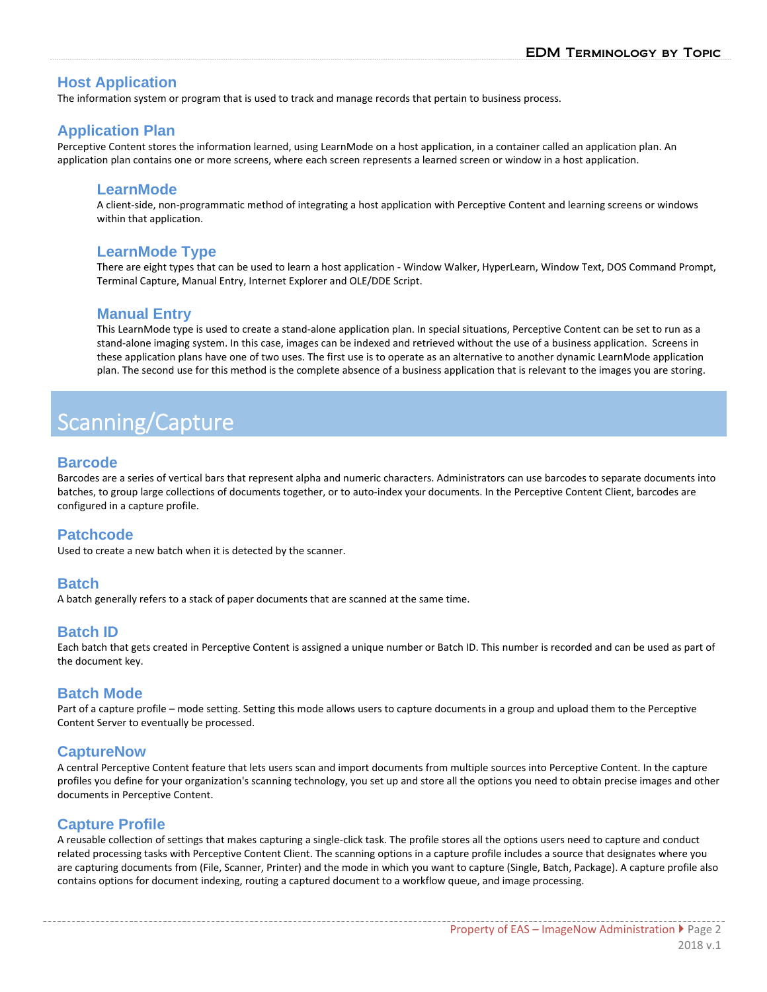## **Host Application**

The information system or program that is used to track and manage records that pertain to business process.

## **Application Plan**

Perceptive Content stores the information learned, using LearnMode on a host application, in a container called an application plan. An application plan contains one or more screens, where each screen represents a learned screen or window in a host application.

#### **LearnMode**

A client‐side, non‐programmatic method of integrating a host application with Perceptive Content and learning screens or windows within that application.

## **LearnMode Type**

There are eight types that can be used to learn a host application ‐ Window Walker, HyperLearn, Window Text, DOS Command Prompt, Terminal Capture, Manual Entry, Internet Explorer and OLE/DDE Script.

#### **Manual Entry**

This LearnMode type is used to create a stand‐alone application plan. In special situations, Perceptive Content can be set to run as a stand-alone imaging system. In this case, images can be indexed and retrieved without the use of a business application. Screens in these application plans have one of two uses. The first use is to operate as an alternative to another dynamic LearnMode application plan. The second use for this method is the complete absence of a business application that is relevant to the images you are storing.

# Scanning/Capture

## **Barcode**

Barcodes are a series of vertical bars that represent alpha and numeric characters. Administrators can use barcodes to separate documents into batches, to group large collections of documents together, or to auto-index your documents. In the Perceptive Content Client, barcodes are configured in a capture profile.

## **Patchcode**

Used to create a new batch when it is detected by the scanner.

## **Batch**

A batch generally refers to a stack of paper documents that are scanned at the same time.

## **Batch ID**

Each batch that gets created in Perceptive Content is assigned a unique number or Batch ID. This number is recorded and can be used as part of the document key.

#### **Batch Mode**

Part of a capture profile – mode setting. Setting this mode allows users to capture documents in a group and upload them to the Perceptive Content Server to eventually be processed.

## **CaptureNow**

A central Perceptive Content feature that lets users scan and import documents from multiple sources into Perceptive Content. In the capture profiles you define for your organization's scanning technology, you set up and store all the options you need to obtain precise images and other documents in Perceptive Content.

## **Capture Profile**

A reusable collection of settings that makes capturing a single‐click task. The profile stores all the options users need to capture and conduct related processing tasks with Perceptive Content Client. The scanning options in a capture profile includes a source that designates where you are capturing documents from (File, Scanner, Printer) and the mode in which you want to capture (Single, Batch, Package). A capture profile also contains options for document indexing, routing a captured document to a workflow queue, and image processing.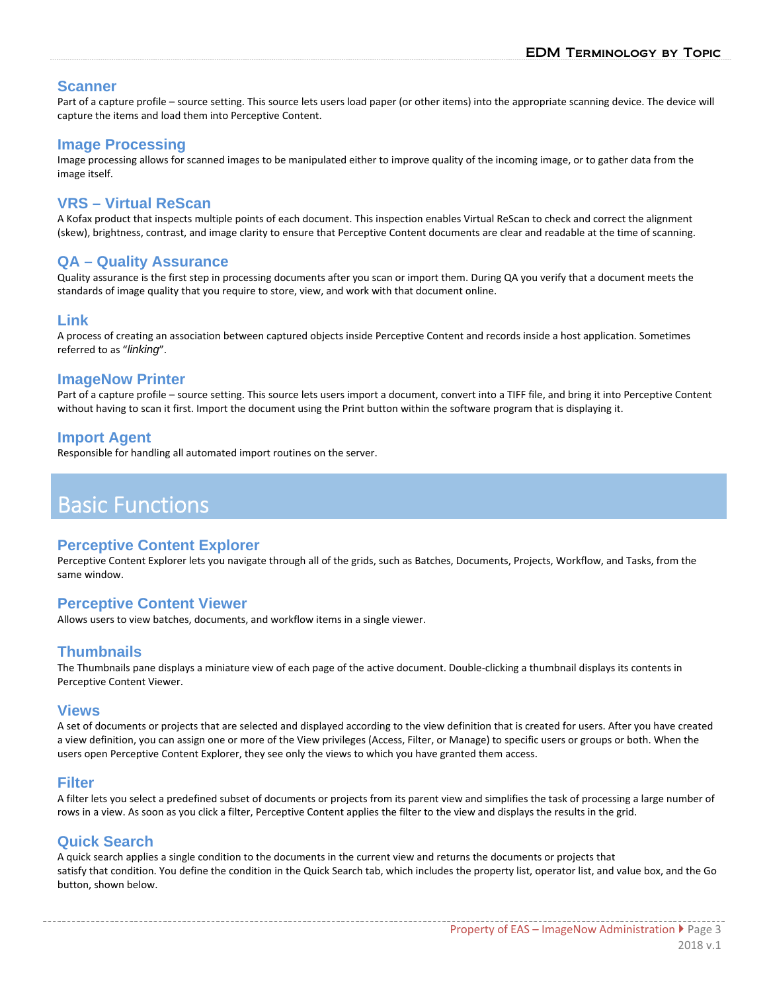#### **Scanner**

Part of a capture profile – source setting. This source lets users load paper (or other items) into the appropriate scanning device. The device will capture the items and load them into Perceptive Content.

#### **Image Processing**

Image processing allows for scanned images to be manipulated either to improve quality of the incoming image, or to gather data from the image itself.

## **VRS – Virtual ReScan**

A Kofax product that inspects multiple points of each document. This inspection enables Virtual ReScan to check and correct the alignment (skew), brightness, contrast, and image clarity to ensure that Perceptive Content documents are clear and readable at the time of scanning.

#### **QA – Quality Assurance**

Quality assurance is the first step in processing documents after you scan or import them. During QA you verify that a document meets the standards of image quality that you require to store, view, and work with that document online.

## **Link**

A process of creating an association between captured objects inside Perceptive Content and records inside a host application. Sometimes referred to as "*linking*".

#### **ImageNow Printer**

Part of a capture profile – source setting. This source lets users import a document, convert into a TIFF file, and bring it into Perceptive Content without having to scan it first. Import the document using the Print button within the software program that is displaying it.

#### **Import Agent**

Responsible for handling all automated import routines on the server.

## Basic Functions

#### **Perceptive Content Explorer**

Perceptive Content Explorer lets you navigate through all of the grids, such as Batches, Documents, Projects, Workflow, and Tasks, from the same window.

#### **Perceptive Content Viewer**

Allows users to view batches, documents, and workflow items in a single viewer.

## **Thumbnails**

The Thumbnails pane displays a miniature view of each page of the active document. Double‐clicking a thumbnail displays its contents in Perceptive Content Viewer.

#### **Views**

A set of documents or projects that are selected and displayed according to the view definition that is created for users. After you have created a view definition, you can assign one or more of the View privileges (Access, Filter, or Manage) to specific users or groups or both. When the users open Perceptive Content Explorer, they see only the views to which you have granted them access.

#### **Filter**

A filter lets you select a predefined subset of documents or projects from its parent view and simplifies the task of processing a large number of rows in a view. As soon as you click a filter, Perceptive Content applies the filter to the view and displays the results in the grid.

## **Quick Search**

A quick search applies a single condition to the documents in the current view and returns the documents or projects that satisfy that condition. You define the condition in the Quick Search tab, which includes the property list, operator list, and value box, and the Go button, shown below.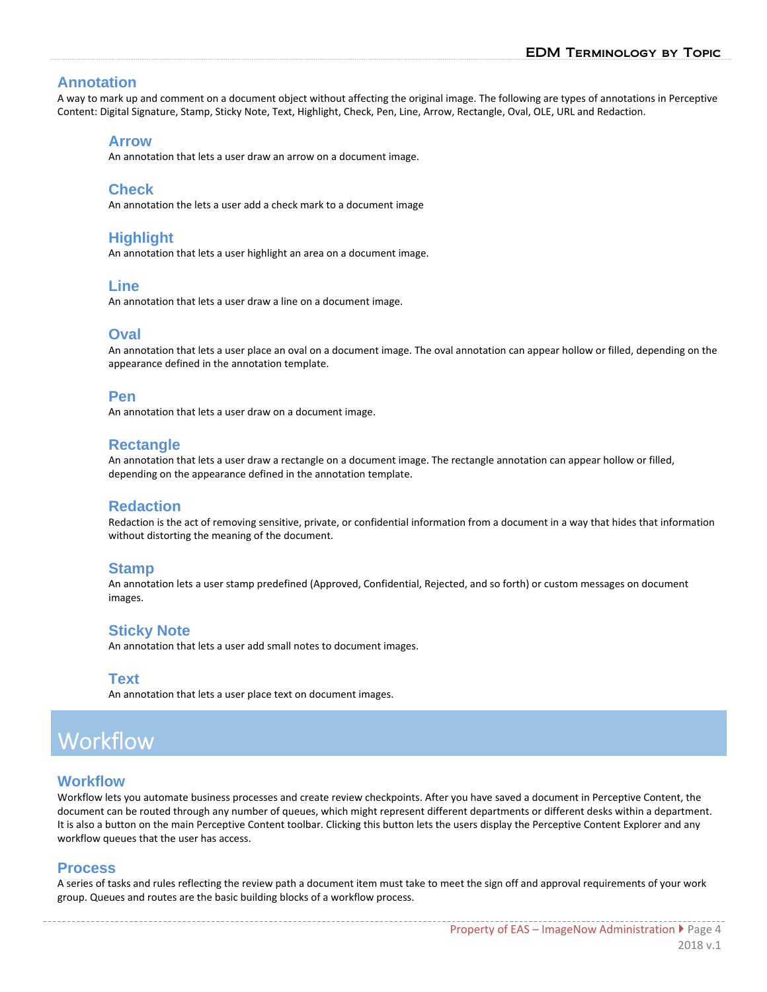## **Annotation**

A way to mark up and comment on a document object without affecting the original image. The following are types of annotations in Perceptive Content: Digital Signature, Stamp, Sticky Note, Text, Highlight, Check, Pen, Line, Arrow, Rectangle, Oval, OLE, URL and Redaction.

#### **Arrow**

An annotation that lets a user draw an arrow on a document image.

#### **Check**

An annotation the lets a user add a check mark to a document image

## **Highlight**

An annotation that lets a user highlight an area on a document image.

#### **Line**

An annotation that lets a user draw a line on a document image.

## **Oval**

An annotation that lets a user place an oval on a document image. The oval annotation can appear hollow or filled, depending on the appearance defined in the annotation template.

#### **Pen**

An annotation that lets a user draw on a document image.

## **Rectangle**

An annotation that lets a user draw a rectangle on a document image. The rectangle annotation can appear hollow or filled, depending on the appearance defined in the annotation template.

## **Redaction**

Redaction is the act of removing sensitive, private, or confidential information from a document in a way that hides that information without distorting the meaning of the document.

#### **Stamp**

An annotation lets a user stamp predefined (Approved, Confidential, Rejected, and so forth) or custom messages on document images.

## **Sticky Note**

An annotation that lets a user add small notes to document images.

#### **Text**

An annotation that lets a user place text on document images.

# Workflow

#### **Workflow**

Workflow lets you automate business processes and create review checkpoints. After you have saved a document in Perceptive Content, the document can be routed through any number of queues, which might represent different departments or different desks within a department. It is also a button on the main Perceptive Content toolbar. Clicking this button lets the users display the Perceptive Content Explorer and any workflow queues that the user has access.

## **Process**

A series of tasks and rules reflecting the review path a document item must take to meet the sign off and approval requirements of your work group. Queues and routes are the basic building blocks of a workflow process.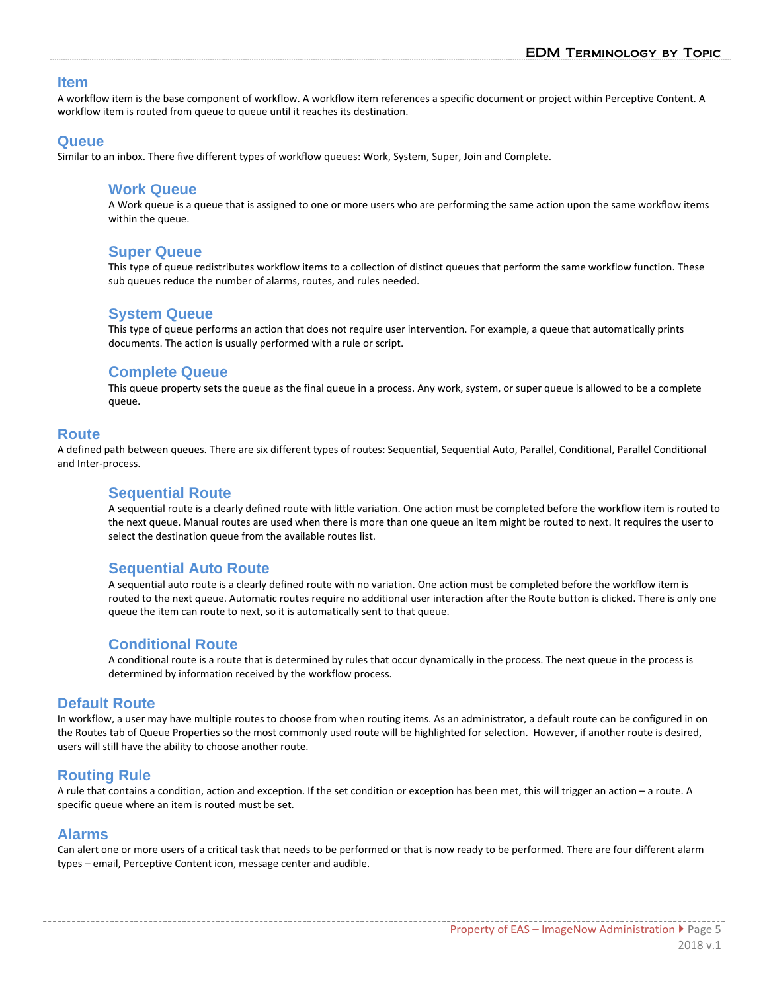#### **Item**

A workflow item is the base component of workflow. A workflow item references a specific document or project within Perceptive Content. A workflow item is routed from queue to queue until it reaches its destination.

#### **Queue**

Similar to an inbox. There five different types of workflow queues: Work, System, Super, Join and Complete.

#### **Work Queue**

A Work queue is a queue that is assigned to one or more users who are performing the same action upon the same workflow items within the queue.

#### **Super Queue**

This type of queue redistributes workflow items to a collection of distinct queues that perform the same workflow function. These sub queues reduce the number of alarms, routes, and rules needed.

#### **System Queue**

This type of queue performs an action that does not require user intervention. For example, a queue that automatically prints documents. The action is usually performed with a rule or script.

#### **Complete Queue**

This queue property sets the queue as the final queue in a process. Any work, system, or super queue is allowed to be a complete queue.

#### **Route**

A defined path between queues. There are six different types of routes: Sequential, Sequential Auto, Parallel, Conditional, Parallel Conditional and Inter‐process.

#### **Sequential Route**

A sequential route is a clearly defined route with little variation. One action must be completed before the workflow item is routed to the next queue. Manual routes are used when there is more than one queue an item might be routed to next. It requires the user to select the destination queue from the available routes list.

## **Sequential Auto Route**

A sequential auto route is a clearly defined route with no variation. One action must be completed before the workflow item is routed to the next queue. Automatic routes require no additional user interaction after the Route button is clicked. There is only one queue the item can route to next, so it is automatically sent to that queue.

#### **Conditional Route**

A conditional route is a route that is determined by rules that occur dynamically in the process. The next queue in the process is determined by information received by the workflow process.

#### **Default Route**

In workflow, a user may have multiple routes to choose from when routing items. As an administrator, a default route can be configured in on the Routes tab of Queue Properties so the most commonly used route will be highlighted for selection. However, if another route is desired, users will still have the ability to choose another route.

## **Routing Rule**

A rule that contains a condition, action and exception. If the set condition or exception has been met, this will trigger an action – a route. A specific queue where an item is routed must be set.

#### **Alarms**

Can alert one or more users of a critical task that needs to be performed or that is now ready to be performed. There are four different alarm types – email, Perceptive Content icon, message center and audible.